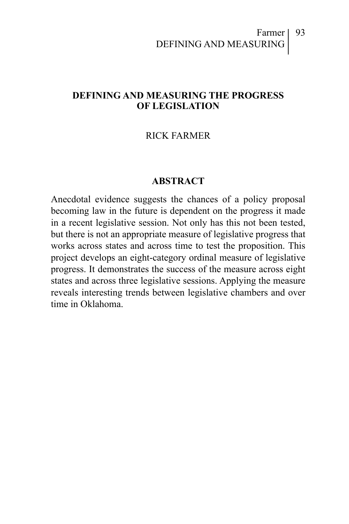#### Farmer DEFINING AND MEASURING

#### **DEFINING AND MEASURING THE PROGRESS OF LEGISLATION**

#### RICK FARMER

#### **ABSTRACT**

Anecdotal evidence suggests the chances of a policy proposal becoming law in the future is dependent on the progress it made in a recent legislative session. Not only has this not been tested, but there is not an appropriate measure of legislative progress that works across states and across time to test the proposition. This project develops an eight-category ordinal measure of legislative progress. It demonstrates the success of the measure across eight states and across three legislative sessions. Applying the measure reveals interesting trends between legislative chambers and over time in Oklahoma.

93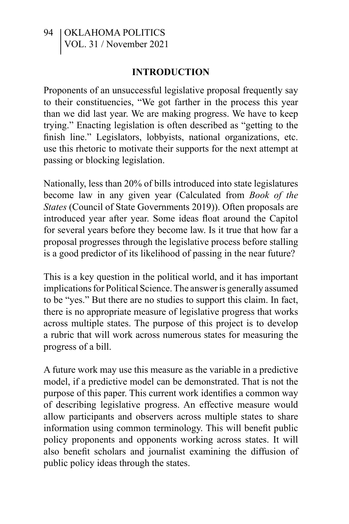#### **INTRODUCTION**

Proponents of an unsuccessful legislative proposal frequently say to their constituencies, "We got farther in the process this year than we did last year. We are making progress. We have to keep trying." Enacting legislation is often described as "getting to the finish line." Legislators, lobbyists, national organizations, etc. use this rhetoric to motivate their supports for the next attempt at passing or blocking legislation.

Nationally, less than 20% of bills introduced into state legislatures become law in any given year (Calculated from *Book of the States* (Council of State Governments 2019)). Often proposals are introduced year after year. Some ideas float around the Capitol for several years before they become law. Is it true that how far a proposal progresses through the legislative process before stalling is a good predictor of its likelihood of passing in the near future?

This is a key question in the political world, and it has important implications for Political Science. The answer is generally assumed to be "yes." But there are no studies to support this claim. In fact, there is no appropriate measure of legislative progress that works across multiple states. The purpose of this project is to develop a rubric that will work across numerous states for measuring the progress of a bill.

A future work may use this measure as the variable in a predictive model, if a predictive model can be demonstrated. That is not the purpose of this paper. This current work identifies a common way of describing legislative progress. An effective measure would allow participants and observers across multiple states to share information using common terminology. This will benefit public policy proponents and opponents working across states. It will also benefit scholars and journalist examining the diffusion of public policy ideas through the states.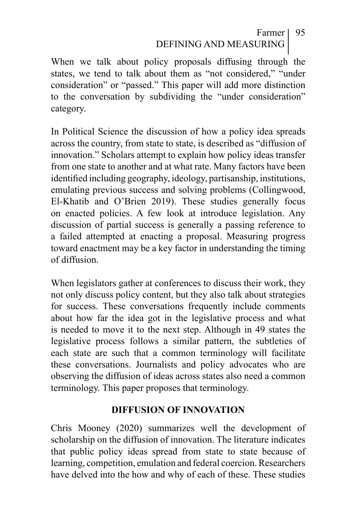### Farmer 95 DEFINING AND MEASURING

When we talk about policy proposals diffusing through the states, we tend to talk about them as "not considered," "under consideration" or "passed." This paper will add more distinction to the conversation by subdividing the "under consideration" category.

In Political Science the discussion of how a policy idea spreads across the country, from state to state, is described as "diffusion of innovation." Scholars attempt to explain how policy ideas transfer from one state to another and at what rate. Many factors have been identified including geography, ideology, partisanship, institutions, emulating previous success and solving problems (Collingwood, El-Khatib and O'Brien 2019). These studies generally focus on enacted policies. A few look at introduce legislation. Any discussion of partial success is generally a passing reference to a failed attempted at enacting a proposal. Measuring progress toward enactment may be a key factor in understanding the timing of diffusion.

When legislators gather at conferences to discuss their work, they not only discuss policy content, but they also talk about strategies for success. These conversations frequently include comments about how far the idea got in the legislative process and what is needed to move it to the next step. Although in 49 states the legislative process follows a similar pattern, the subtleties of each state are such that a common terminology will facilitate these conversations. Journalists and policy advocates who are observing the diffusion of ideas across states also need a common terminology. This paper proposes that terminology.

#### **DIFFUSION OF INNOVATION**

Chris Mooney (2020) summarizes well the development of scholarship on the diffusion of innovation. The literature indicates that public policy ideas spread from state to state because of learning, competition, emulation and federal coercion. Researchers have delved into the how and why of each of these. These studies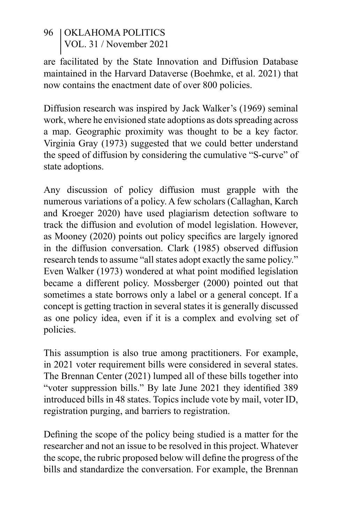are facilitated by the State Innovation and Diffusion Database maintained in the Harvard Dataverse (Boehmke, et al. 2021) that now contains the enactment date of over 800 policies.

Diffusion research was inspired by Jack Walker's (1969) seminal work, where he envisioned state adoptions as dots spreading across a map. Geographic proximity was thought to be a key factor. Virginia Gray (1973) suggested that we could better understand the speed of diffusion by considering the cumulative "S-curve" of state adoptions.

Any discussion of policy diffusion must grapple with the numerous variations of a policy. A few scholars (Callaghan, Karch and Kroeger 2020) have used plagiarism detection software to track the diffusion and evolution of model legislation. However, as Mooney (2020) points out policy specifics are largely ignored in the diffusion conversation. Clark (1985) observed diffusion research tends to assume "all states adopt exactly the same policy." Even Walker (1973) wondered at what point modified legislation became a different policy. Mossberger (2000) pointed out that sometimes a state borrows only a label or a general concept. If a concept is getting traction in several states it is generally discussed as one policy idea, even if it is a complex and evolving set of policies.

This assumption is also true among practitioners. For example, in 2021 voter requirement bills were considered in several states. The Brennan Center (2021) lumped all of these bills together into "voter suppression bills." By late June 2021 they identified 389 introduced bills in 48 states. Topics include vote by mail, voter ID, registration purging, and barriers to registration.

Defining the scope of the policy being studied is a matter for the researcher and not an issue to be resolved in this project. Whatever the scope, the rubric proposed below will define the progress of the bills and standardize the conversation. For example, the Brennan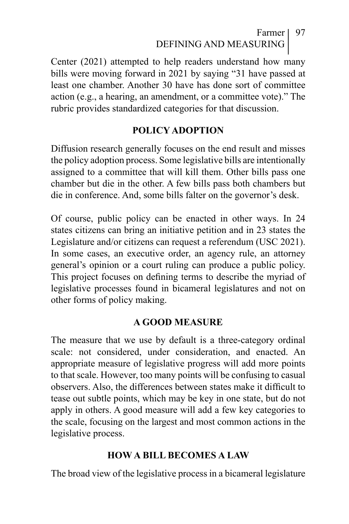## Farmer | 97 DEFINING AND MEASURING

Center (2021) attempted to help readers understand how many bills were moving forward in 2021 by saying "31 have passed at least one chamber. Another 30 have has done sort of committee action (e.g., a hearing, an amendment, or a committee vote)." The rubric provides standardized categories for that discussion.

#### **POLICY ADOPTION**

Diffusion research generally focuses on the end result and misses the policy adoption process. Some legislative bills are intentionally assigned to a committee that will kill them. Other bills pass one chamber but die in the other. A few bills pass both chambers but die in conference. And, some bills falter on the governor's desk.

Of course, public policy can be enacted in other ways. In 24 states citizens can bring an initiative petition and in 23 states the Legislature and/or citizens can request a referendum (USC 2021). In some cases, an executive order, an agency rule, an attorney general's opinion or a court ruling can produce a public policy. This project focuses on defining terms to describe the myriad of legislative processes found in bicameral legislatures and not on other forms of policy making.

#### **A GOOD MEASURE**

The measure that we use by default is a three-category ordinal scale: not considered, under consideration, and enacted. An appropriate measure of legislative progress will add more points to that scale. However, too many points will be confusing to casual observers. Also, the differences between states make it difficult to tease out subtle points, which may be key in one state, but do not apply in others. A good measure will add a few key categories to the scale, focusing on the largest and most common actions in the legislative process.

#### **HOW A BILL BECOMES A LAW**

The broad view of the legislative process in a bicameral legislature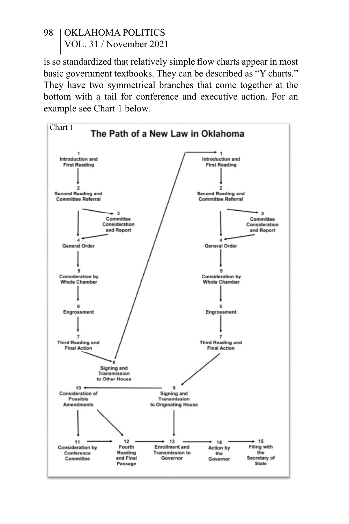is so standardized that relatively simple flow charts appear in most basic government textbooks. They can be described as "Y charts." They have two symmetrical branches that come together at the bottom with a tail for conference and executive action. For an example see Chart 1 below.

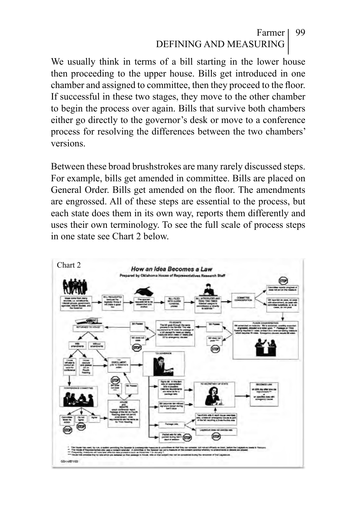#### Farmer DEFINING AND MEASURING 99

We usually think in terms of a bill starting in the lower house then proceeding to the upper house. Bills get introduced in one chamber and assigned to committee, then they proceed to the floor. If successful in these two stages, they move to the other chamber to begin the process over again. Bills that survive both chambers either go directly to the governor's desk or move to a conference process for resolving the differences between the two chambers' versions.

Between these broad brushstrokes are many rarely discussed steps. For example, bills get amended in committee. Bills are placed on General Order. Bills get amended on the floor. The amendments are engrossed. All of these steps are essential to the process, but each state does them in its own way, reports them differently and uses their own terminology. To see the full scale of process steps in one state see Chart 2 below.

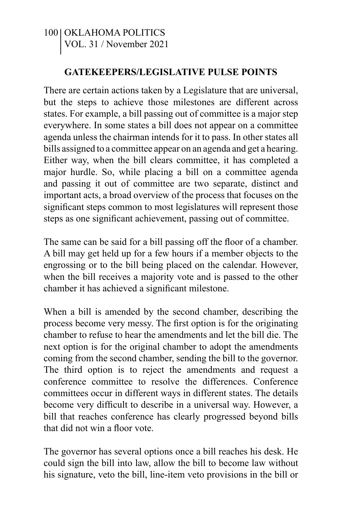#### **GATEKEEPERS/LEGISLATIVE PULSE POINTS**

There are certain actions taken by a Legislature that are universal, but the steps to achieve those milestones are different across states. For example, a bill passing out of committee is a major step everywhere. In some states a bill does not appear on a committee agenda unless the chairman intends for it to pass. In other states all bills assigned to a committee appear on an agenda and get a hearing. Either way, when the bill clears committee, it has completed a major hurdle. So, while placing a bill on a committee agenda and passing it out of committee are two separate, distinct and important acts, a broad overview of the process that focuses on the significant steps common to most legislatures will represent those steps as one significant achievement, passing out of committee.

The same can be said for a bill passing off the floor of a chamber. A bill may get held up for a few hours if a member objects to the engrossing or to the bill being placed on the calendar. However, when the bill receives a majority vote and is passed to the other chamber it has achieved a significant milestone.

When a bill is amended by the second chamber, describing the process become very messy. The first option is for the originating chamber to refuse to hear the amendments and let the bill die. The next option is for the original chamber to adopt the amendments coming from the second chamber, sending the bill to the governor. The third option is to reject the amendments and request a conference committee to resolve the differences. Conference committees occur in different ways in different states. The details become very difficult to describe in a universal way. However, a bill that reaches conference has clearly progressed beyond bills that did not win a floor vote.

The governor has several options once a bill reaches his desk. He could sign the bill into law, allow the bill to become law without his signature, veto the bill, line-item veto provisions in the bill or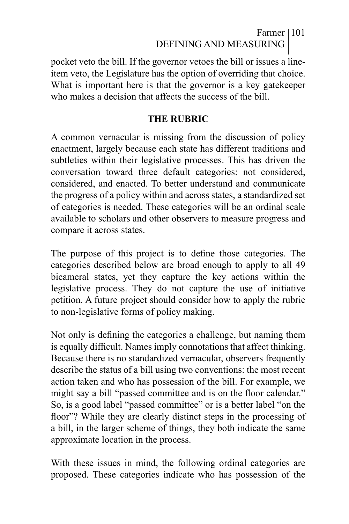## Farmer 101 DEFINING AND MEASURING

pocket veto the bill. If the governor vetoes the bill or issues a lineitem veto, the Legislature has the option of overriding that choice. What is important here is that the governor is a key gatekeeper who makes a decision that affects the success of the bill.

#### **THE RUBRIC**

A common vernacular is missing from the discussion of policy enactment, largely because each state has different traditions and subtleties within their legislative processes. This has driven the conversation toward three default categories: not considered, considered, and enacted. To better understand and communicate the progress of a policy within and across states, a standardized set of categories is needed. These categories will be an ordinal scale available to scholars and other observers to measure progress and compare it across states.

The purpose of this project is to define those categories. The categories described below are broad enough to apply to all 49 bicameral states, yet they capture the key actions within the legislative process. They do not capture the use of initiative petition. A future project should consider how to apply the rubric to non-legislative forms of policy making.

Not only is defining the categories a challenge, but naming them is equally difficult. Names imply connotations that affect thinking. Because there is no standardized vernacular, observers frequently describe the status of a bill using two conventions: the most recent action taken and who has possession of the bill. For example, we might say a bill "passed committee and is on the floor calendar." So, is a good label "passed committee" or is a better label "on the floor"? While they are clearly distinct steps in the processing of a bill, in the larger scheme of things, they both indicate the same approximate location in the process.

With these issues in mind, the following ordinal categories are proposed. These categories indicate who has possession of the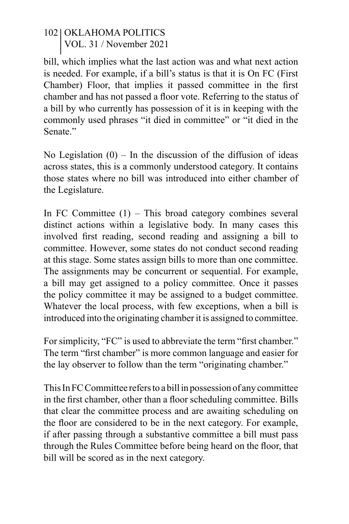bill, which implies what the last action was and what next action is needed. For example, if a bill's status is that it is On FC (First Chamber) Floor, that implies it passed committee in the first chamber and has not passed a floor vote. Referring to the status of a bill by who currently has possession of it is in keeping with the commonly used phrases "it died in committee" or "it died in the Senate<sup>"</sup>

No Legislation  $(0)$  – In the discussion of the diffusion of ideas across states, this is a commonly understood category. It contains those states where no bill was introduced into either chamber of the Legislature.

In FC Committee  $(1)$  – This broad category combines several distinct actions within a legislative body. In many cases this involved first reading, second reading and assigning a bill to committee. However, some states do not conduct second reading at this stage. Some states assign bills to more than one committee. The assignments may be concurrent or sequential. For example, a bill may get assigned to a policy committee. Once it passes the policy committee it may be assigned to a budget committee. Whatever the local process, with few exceptions, when a bill is introduced into the originating chamber it is assigned to committee.

For simplicity, "FC" is used to abbreviate the term "first chamber." The term "first chamber" is more common language and easier for the lay observer to follow than the term "originating chamber."

This In FC Committee refers to a bill in possession of any committee in the first chamber, other than a floor scheduling committee. Bills that clear the committee process and are awaiting scheduling on the floor are considered to be in the next category. For example, if after passing through a substantive committee a bill must pass through the Rules Committee before being heard on the floor, that bill will be scored as in the next category.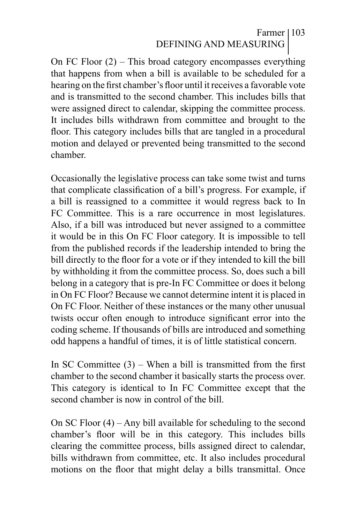### Farmer 103 DEFINING AND MEASURING

On FC Floor (2) – This broad category encompasses everything that happens from when a bill is available to be scheduled for a hearing on the first chamber's floor until it receives a favorable vote and is transmitted to the second chamber. This includes bills that were assigned direct to calendar, skipping the committee process. It includes bills withdrawn from committee and brought to the floor. This category includes bills that are tangled in a procedural motion and delayed or prevented being transmitted to the second chamber.

Occasionally the legislative process can take some twist and turns that complicate classification of a bill's progress. For example, if a bill is reassigned to a committee it would regress back to In FC Committee. This is a rare occurrence in most legislatures. Also, if a bill was introduced but never assigned to a committee it would be in this On FC Floor category. It is impossible to tell from the published records if the leadership intended to bring the bill directly to the floor for a vote or if they intended to kill the bill by withholding it from the committee process. So, does such a bill belong in a category that is pre-In FC Committee or does it belong in On FC Floor? Because we cannot determine intent it is placed in On FC Floor. Neither of these instances or the many other unusual twists occur often enough to introduce significant error into the coding scheme. If thousands of bills are introduced and something odd happens a handful of times, it is of little statistical concern.

In SC Committee (3) – When a bill is transmitted from the first chamber to the second chamber it basically starts the process over. This category is identical to In FC Committee except that the second chamber is now in control of the bill.

On SC Floor (4) – Any bill available for scheduling to the second chamber's floor will be in this category. This includes bills clearing the committee process, bills assigned direct to calendar, bills withdrawn from committee, etc. It also includes procedural motions on the floor that might delay a bills transmittal. Once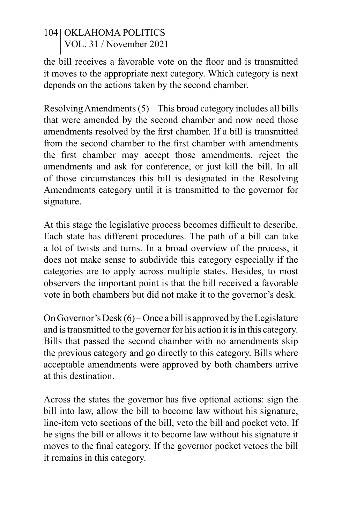the bill receives a favorable vote on the floor and is transmitted it moves to the appropriate next category. Which category is next depends on the actions taken by the second chamber.

Resolving Amendments (5) – This broad category includes all bills that were amended by the second chamber and now need those amendments resolved by the first chamber. If a bill is transmitted from the second chamber to the first chamber with amendments the first chamber may accept those amendments, reject the amendments and ask for conference, or just kill the bill. In all of those circumstances this bill is designated in the Resolving Amendments category until it is transmitted to the governor for signature.

At this stage the legislative process becomes difficult to describe. Each state has different procedures. The path of a bill can take a lot of twists and turns. In a broad overview of the process, it does not make sense to subdivide this category especially if the categories are to apply across multiple states. Besides, to most observers the important point is that the bill received a favorable vote in both chambers but did not make it to the governor's desk.

On Governor's Desk (6) – Once a bill is approved by the Legislature and is transmitted to the governor for his action it is in this category. Bills that passed the second chamber with no amendments skip the previous category and go directly to this category. Bills where acceptable amendments were approved by both chambers arrive at this destination.

Across the states the governor has five optional actions: sign the bill into law, allow the bill to become law without his signature, line-item veto sections of the bill, veto the bill and pocket veto. If he signs the bill or allows it to become law without his signature it moves to the final category. If the governor pocket vetoes the bill it remains in this category.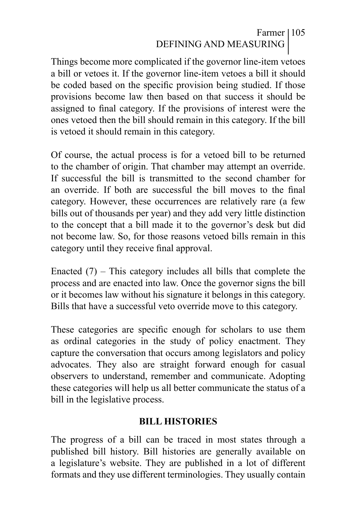## Farmer 105 DEFINING AND MEASURING

Things become more complicated if the governor line-item vetoes a bill or vetoes it. If the governor line-item vetoes a bill it should be coded based on the specific provision being studied. If those provisions become law then based on that success it should be assigned to final category. If the provisions of interest were the ones vetoed then the bill should remain in this category. If the bill is vetoed it should remain in this category.

Of course, the actual process is for a vetoed bill to be returned to the chamber of origin. That chamber may attempt an override. If successful the bill is transmitted to the second chamber for an override. If both are successful the bill moves to the final category. However, these occurrences are relatively rare (a few bills out of thousands per year) and they add very little distinction to the concept that a bill made it to the governor's desk but did not become law. So, for those reasons vetoed bills remain in this category until they receive final approval.

Enacted  $(7)$  – This category includes all bills that complete the process and are enacted into law. Once the governor signs the bill or it becomes law without his signature it belongs in this category. Bills that have a successful veto override move to this category.

These categories are specific enough for scholars to use them as ordinal categories in the study of policy enactment. They capture the conversation that occurs among legislators and policy advocates. They also are straight forward enough for casual observers to understand, remember and communicate. Adopting these categories will help us all better communicate the status of a bill in the legislative process.

#### **BILL HISTORIES**

The progress of a bill can be traced in most states through a published bill history. Bill histories are generally available on a legislature's website. They are published in a lot of different formats and they use different terminologies. They usually contain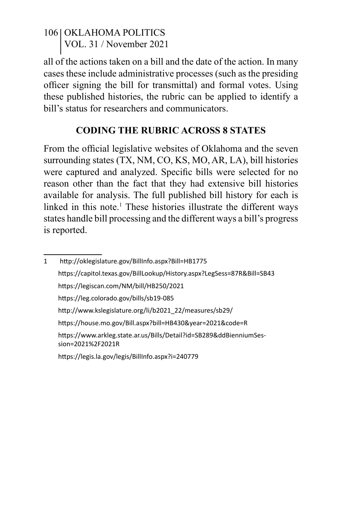all of the actions taken on a bill and the date of the action. In many cases these include administrative processes (such as the presiding officer signing the bill for transmittal) and formal votes. Using these published histories, the rubric can be applied to identify a bill's status for researchers and communicators.

### **CODING THE RUBRIC ACROSS 8 STATES**

From the official legislative websites of Oklahoma and the seven surrounding states (TX, NM, CO, KS, MO, AR, LA), bill histories were captured and analyzed. Specific bills were selected for no reason other than the fact that they had extensive bill histories available for analysis. The full published bill history for each is linked in this note.<sup>1</sup> These histories illustrate the different ways states handle bill processing and the different ways a bill's progress is reported.

<sup>1</sup> http://oklegislature.gov/BillInfo.aspx?Bill=HB1775 https://capitol.texas.gov/BillLookup/History.aspx?LegSess=87R&Bill=SB43 https://legiscan.com/NM/bill/HB250/2021 https://leg.colorado.gov/bills/sb19-085 http://www.kslegislature.org/li/b2021\_22/measures/sb29/ https://house.mo.gov/Bill.aspx?bill=HB430&year=2021&code=R https://www.arkleg.state.ar.us/Bills/Detail?id=SB289&ddBienniumSession=2021%2F2021R https://legis.la.gov/legis/BillInfo.aspx?i=240779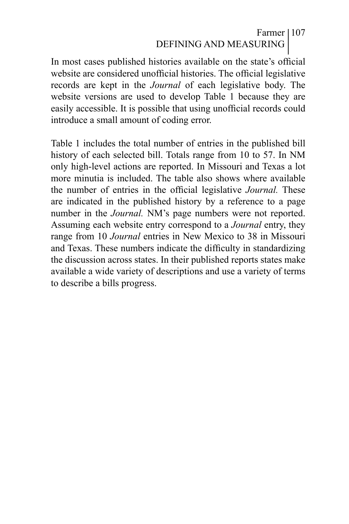## Farmer 107 DEFINING AND MEASURING

In most cases published histories available on the state's official website are considered unofficial histories. The official legislative records are kept in the *Journal* of each legislative body. The website versions are used to develop Table 1 because they are easily accessible. It is possible that using unofficial records could introduce a small amount of coding error.

Table 1 includes the total number of entries in the published bill history of each selected bill. Totals range from 10 to 57. In NM only high-level actions are reported. In Missouri and Texas a lot more minutia is included. The table also shows where available the number of entries in the official legislative *Journal.* These are indicated in the published history by a reference to a page number in the *Journal.* NM's page numbers were not reported. Assuming each website entry correspond to a *Journal* entry, they range from 10 *Journal* entries in New Mexico to 38 in Missouri and Texas. These numbers indicate the difficulty in standardizing the discussion across states. In their published reports states make available a wide variety of descriptions and use a variety of terms to describe a bills progress.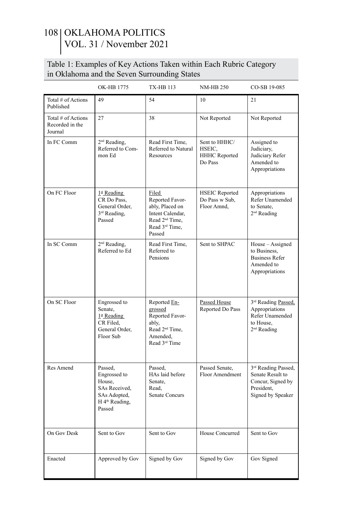#### Table 1: Examples of Key Actions Taken within Each Rubric Category in Oklahoma and the Seven Surrounding States

|                                                  | OK-HB 1775                                                                                                 | TX-HB 113                                                                                                                             | <b>NM-HB 250</b>                                       | CO-SB 19-085                                                                                                 |  |
|--------------------------------------------------|------------------------------------------------------------------------------------------------------------|---------------------------------------------------------------------------------------------------------------------------------------|--------------------------------------------------------|--------------------------------------------------------------------------------------------------------------|--|
| Total # of Actions<br>Published                  | 49                                                                                                         | 54                                                                                                                                    | 10                                                     | 21                                                                                                           |  |
| Total # of Actions<br>Recorded in the<br>Journal | 27                                                                                                         | 38                                                                                                                                    | Not Reported                                           | Not Reported                                                                                                 |  |
| In FC Comm                                       | 2 <sup>nd</sup> Reading,<br>Referred to Com-<br>mon Ed                                                     | Read First Time.<br>Referred to Natural<br>Resources                                                                                  | Sent to HHHC/<br>HSEIC,<br>HHHC Reported<br>Do Pass    | Assigned to<br>Judiciary,<br>Judiciary Refer<br>Amended to<br>Appropriations                                 |  |
| On FC Floor                                      | $1st$ Reading<br>CR Do Pass.<br>General Order,<br>3 <sup>rd</sup> Reading,<br>Passed                       | Filed<br>Reported Favor-<br>ably, Placed on<br>Intent Calendar,<br>Read 2 <sup>nd</sup> Time,<br>Read 3 <sup>rd</sup> Time.<br>Passed | <b>HSEIC Reported</b><br>Do Pass w Sub,<br>Floor Amnd, | Appropriations<br>Refer Unamended<br>to Senate.<br>2 <sup>nd</sup> Reading                                   |  |
| In SC Comm                                       | 2 <sup>nd</sup> Reading,<br>Referred to Ed                                                                 | Read First Time.<br>Referred to<br>Pensions                                                                                           | Sent to SHPAC                                          | House - Assigned<br>to Business.<br><b>Business Refer</b><br>Amended to<br>Appropriations                    |  |
| On SC Floor                                      | Engrossed to<br>Senate,<br>$1^{\underline{\text{st}}}$ Reading<br>CR Filed.<br>General Order,<br>Floor Sub | Reported En-<br>grossed<br>Reported Favor-<br>ably,<br>Read 2 <sup>nd</sup> Time,<br>Amended,<br>Read 3 <sup>rd</sup> Time            | Passed House<br>Reported Do Pass                       | 3 <sup>rd</sup> Reading Passed,<br>Appropriations<br>Refer Unamended<br>to House.<br>2 <sup>nd</sup> Reading |  |
| Res Amend                                        | Passed,<br>Engrossed to<br>House,<br>SAs Received,<br>SAs Adopted,<br>H 4 <sup>th</sup> Reading,<br>Passed | Passed.<br>HAs laid before<br>Senate.<br>Read.<br><b>Senate Concurs</b>                                                               | Passed Senate,<br>Floor Amendment                      | 3 <sup>rd</sup> Reading Passed,<br>Senate Result to<br>Concur, Signed by<br>President,<br>Signed by Speaker  |  |
| On Gov Desk                                      | Sent to Gov                                                                                                | Sent to Gov                                                                                                                           | House Concurred                                        | Sent to Gov                                                                                                  |  |
| Enacted                                          | Approved by Gov                                                                                            | Signed by Gov                                                                                                                         | Signed by Gov                                          | Gov Signed                                                                                                   |  |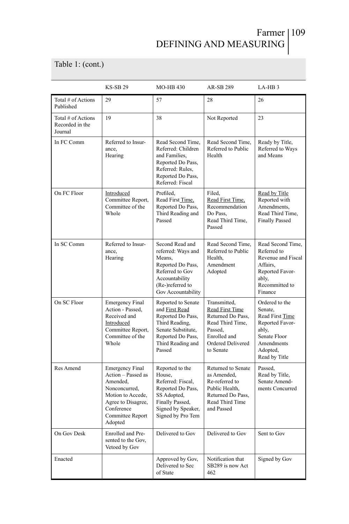# Farmer 109 DEFINING AND MEASURING

Table 1: (cont.)

|                                                  | <b>KS-SB 29</b>                                                                                                                                                   | MO-HB 430                                                                                                                                             | AR-SB 289                                                                                                                                    | LA-HB <sub>3</sub>                                                                                                                         |  |
|--------------------------------------------------|-------------------------------------------------------------------------------------------------------------------------------------------------------------------|-------------------------------------------------------------------------------------------------------------------------------------------------------|----------------------------------------------------------------------------------------------------------------------------------------------|--------------------------------------------------------------------------------------------------------------------------------------------|--|
| Total # of Actions<br>Published                  | 29                                                                                                                                                                | 57                                                                                                                                                    | 28                                                                                                                                           | 26                                                                                                                                         |  |
| Total # of Actions<br>Recorded in the<br>Journal | 19                                                                                                                                                                | 38                                                                                                                                                    | Not Reported                                                                                                                                 | 23                                                                                                                                         |  |
| In FC Comm                                       | Referred to Insur-<br>ance.<br>Hearing                                                                                                                            | Read Second Time,<br>Referred: Children<br>and Families,<br>Reported Do Pass,<br>Referred: Rules,<br>Reported Do Pass,<br>Referred: Fiscal            | Read Second Time,<br>Referred to Public<br>Health                                                                                            | Ready by Title,<br>Referred to Ways<br>and Means                                                                                           |  |
| On FC Floor                                      | Introduced<br>Committee Report,<br>Committee of the<br>Whole                                                                                                      | Prefiled,<br>Read First Time,<br>Reported Do Pass,<br>Third Reading and<br>Passed                                                                     | Filed,<br>Read First Time.<br>Recommendation<br>Do Pass.<br>Read Third Time,<br>Passed                                                       | Read by Title<br>Reported with<br>Amendments,<br>Read Third Time,<br><b>Finally Passed</b>                                                 |  |
| In SC Comm                                       | Referred to Insur-<br>ance,<br>Hearing                                                                                                                            | Second Read and<br>referred: Ways and<br>Means,<br>Reported Do Pass,<br>Referred to Gov<br>Accountability<br>(Re-)referred to<br>Gov Accountability   | Read Second Time.<br>Referred to Public<br>Health.<br>Amendment<br>Adopted                                                                   | Read Second Time.<br>Referred to<br>Revenue and Fiscal<br>Affairs,<br>Reported Favor-<br>ably,<br>Recommitted to<br>Finance                |  |
| On SC Floor                                      | <b>Emergency Final</b><br>Action - Passed.<br>Received and<br>Introduced<br>Committee Report,<br>Committee of the<br>Whole                                        | Reported to Senate<br>and First Read<br>Reported Do Pass,<br>Third Reading,<br>Senate Substitute.<br>Reported Do Pass,<br>Third Reading and<br>Passed | Transmitted,<br><b>Read First Time</b><br>Returned Do Pass,<br>Read Third Time,<br>Passed.<br>Enrolled and<br>Ordered Delivered<br>to Senate | Ordered to the<br>Senate.<br><b>Read First Time</b><br>Reported Favor-<br>ably,<br>Senate Floor<br>Amendments<br>Adopted,<br>Read by Title |  |
| Res Amend                                        | <b>Emergency Final</b><br>Action - Passed as<br>Amended.<br>Nonconcurred,<br>Motion to Accede,<br>Agree to Disagree,<br>Conference<br>Committee Report<br>Adopted | Reported to the<br>House.<br>Referred: Fiscal.<br>Reported Do Pass,<br>SS Adopted,<br>Finally Passed,<br>Signed by Speaker,<br>Signed by Pro Tem      | Returned to Senate<br>as Amended.<br>Re-referred to<br>Public Health,<br>Returned Do Pass.<br>Read Third Time<br>and Passed                  | Passed,<br>Read by Title,<br>Senate Amend-<br>ments Concurred                                                                              |  |
| On Gov Desk                                      | Enrolled and Pre-<br>sented to the Gov,<br>Vetoed by Gov                                                                                                          | Delivered to Gov                                                                                                                                      | Delivered to Gov                                                                                                                             | Sent to Gov                                                                                                                                |  |
| Enacted                                          |                                                                                                                                                                   | Approved by Gov,<br>Delivered to Sec<br>of State                                                                                                      | Notification that<br>SB289 is now Act<br>462                                                                                                 | Signed by Gov                                                                                                                              |  |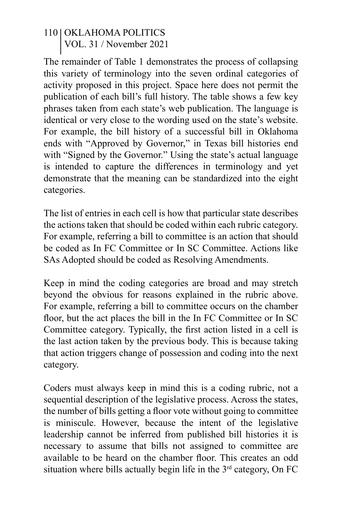The remainder of Table 1 demonstrates the process of collapsing this variety of terminology into the seven ordinal categories of activity proposed in this project. Space here does not permit the publication of each bill's full history. The table shows a few key phrases taken from each state's web publication. The language is identical or very close to the wording used on the state's website. For example, the bill history of a successful bill in Oklahoma ends with "Approved by Governor," in Texas bill histories end with "Signed by the Governor." Using the state's actual language is intended to capture the differences in terminology and yet demonstrate that the meaning can be standardized into the eight categories.

The list of entries in each cell is how that particular state describes the actions taken that should be coded within each rubric category. For example, referring a bill to committee is an action that should be coded as In FC Committee or In SC Committee. Actions like SAs Adopted should be coded as Resolving Amendments.

Keep in mind the coding categories are broad and may stretch beyond the obvious for reasons explained in the rubric above. For example, referring a bill to committee occurs on the chamber floor, but the act places the bill in the In FC Committee or In SC Committee category. Typically, the first action listed in a cell is the last action taken by the previous body. This is because taking that action triggers change of possession and coding into the next category.

Coders must always keep in mind this is a coding rubric, not a sequential description of the legislative process. Across the states, the number of bills getting a floor vote without going to committee is miniscule. However, because the intent of the legislative leadership cannot be inferred from published bill histories it is necessary to assume that bills not assigned to committee are available to be heard on the chamber floor. This creates an odd situation where bills actually begin life in the  $3<sup>rd</sup>$  category, On FC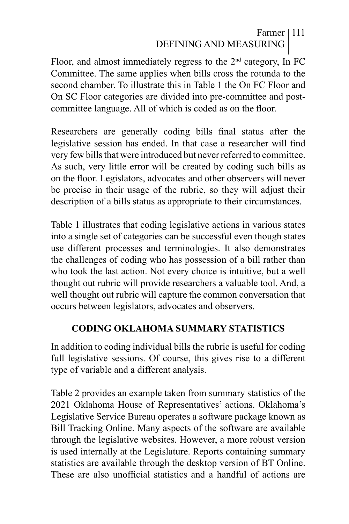# Farmer 111 DEFINING AND MEASURING

Floor, and almost immediately regress to the  $2<sup>nd</sup>$  category, In FC Committee. The same applies when bills cross the rotunda to the second chamber. To illustrate this in Table 1 the On FC Floor and On SC Floor categories are divided into pre-committee and postcommittee language. All of which is coded as on the floor.

Researchers are generally coding bills final status after the legislative session has ended. In that case a researcher will find very few bills that were introduced but never referred to committee. As such, very little error will be created by coding such bills as on the floor. Legislators, advocates and other observers will never be precise in their usage of the rubric, so they will adjust their description of a bills status as appropriate to their circumstances.

Table 1 illustrates that coding legislative actions in various states into a single set of categories can be successful even though states use different processes and terminologies. It also demonstrates the challenges of coding who has possession of a bill rather than who took the last action. Not every choice is intuitive, but a well thought out rubric will provide researchers a valuable tool. And, a well thought out rubric will capture the common conversation that occurs between legislators, advocates and observers.

#### **CODING OKLAHOMA SUMMARY STATISTICS**

In addition to coding individual bills the rubric is useful for coding full legislative sessions. Of course, this gives rise to a different type of variable and a different analysis.

Table 2 provides an example taken from summary statistics of the 2021 Oklahoma House of Representatives' actions. Oklahoma's Legislative Service Bureau operates a software package known as Bill Tracking Online. Many aspects of the software are available through the legislative websites. However, a more robust version is used internally at the Legislature. Reports containing summary statistics are available through the desktop version of BT Online. These are also unofficial statistics and a handful of actions are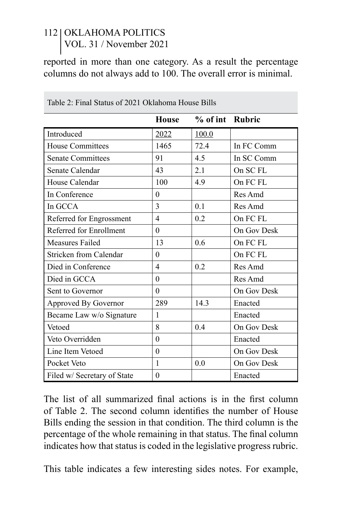reported in more than one category. As a result the percentage columns do not always add to 100. The overall error is minimal.

|                             | <b>House</b>   | % of int Rubric |                     |  |
|-----------------------------|----------------|-----------------|---------------------|--|
| Introduced                  | 2022           | 100.0           |                     |  |
| <b>House Committees</b>     | 1465           | 72.4            | In FC Comm          |  |
| <b>Senate Committees</b>    | 91             | 4.5             | In SC Comm          |  |
| Senate Calendar             | 43             | 2.1             | On SC <sub>FL</sub> |  |
| House Calendar              | 100            | 4.9             | On FC FL            |  |
| In Conference               | $\theta$       |                 | Res Amd             |  |
| In GCCA                     | 3              | 0.1             | Res Amd             |  |
| Referred for Engrossment    | $\overline{4}$ | 0.2             | On FC FL            |  |
| Referred for Enrollment     | $\theta$       |                 | On Gov Desk         |  |
| Measures Failed             | 13             | 0.6             | On FC FL            |  |
| Stricken from Calendar      | $\overline{0}$ |                 | On FC FL            |  |
| Died in Conference          | $\overline{4}$ | 0.2             | Res Amd             |  |
| Died in GCCA                | $\theta$       |                 | Res Amd             |  |
| Sent to Governor            | $\theta$       |                 | On Gov Desk         |  |
| Approved By Governor        | 289            | 14.3            | Enacted             |  |
| Became Law w/o Signature    | 1              |                 | Enacted             |  |
| Vetoed                      | 8              | 0.4             | On Gov Desk         |  |
| Veto Overridden             | $\theta$       |                 | Enacted             |  |
| Line Item Vetoed            | $\theta$       |                 | On Gov Desk         |  |
| Pocket Veto                 | 1              | 0.0             | On Gov Desk         |  |
| Filed w/ Secretary of State | $\theta$       |                 | Enacted             |  |

Table 2: Final Status of 2021 Oklahoma House Bills

The list of all summarized final actions is in the first column of Table 2. The second column identifies the number of House Bills ending the session in that condition. The third column is the percentage of the whole remaining in that status. The final column indicates how that status is coded in the legislative progress rubric.

This table indicates a few interesting sides notes. For example,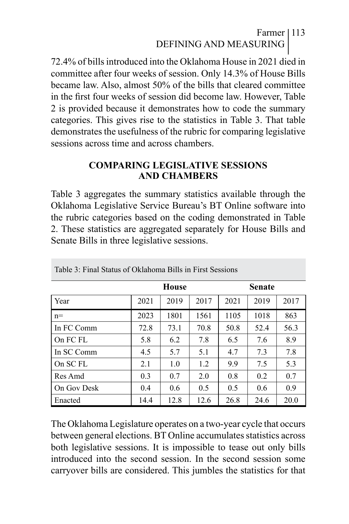# Farmer 113 DEFINING AND MEASURING

72.4% of bills introduced into the Oklahoma House in 2021 died in committee after four weeks of session. Only 14.3% of House Bills became law. Also, almost 50% of the bills that cleared committee in the first four weeks of session did become law. However, Table 2 is provided because it demonstrates how to code the summary categories. This gives rise to the statistics in Table 3. That table demonstrates the usefulness of the rubric for comparing legislative sessions across time and across chambers.

#### **COMPARING LEGISLATIVE SESSIONS AND CHAMBERS**

Table 3 aggregates the summary statistics available through the Oklahoma Legislative Service Bureau's BT Online software into the rubric categories based on the coding demonstrated in Table 2. These statistics are aggregated separately for House Bills and Senate Bills in three legislative sessions.

|             | <b>House</b> |      |      | <b>Senate</b> |      |      |
|-------------|--------------|------|------|---------------|------|------|
| Year        | 2021         | 2019 | 2017 | 2021          | 2019 | 2017 |
| $n=$        | 2023         | 1801 | 1561 | 1105          | 1018 | 863  |
| In FC Comm  | 72.8         | 73.1 | 70.8 | 50.8          | 52.4 | 56.3 |
| On FC FL    | 5.8          | 6.2  | 7.8  | 6.5           | 7.6  | 8.9  |
| In SC Comm  | 4.5          | 5.7  | 5.1  | 4.7           | 7.3  | 7.8  |
| On SC FL    | 2.1          | 1.0  | 1.2  | 9.9           | 7.5  | 5.3  |
| Res Amd     | 0.3          | 0.7  | 2.0  | 0.8           | 0.2  | 0.7  |
| On Gov Desk | 0.4          | 0.6  | 0.5  | 0.5           | 0.6  | 0.9  |
| Enacted     | 14.4         | 12.8 | 12.6 | 26.8          | 24.6 | 20.0 |

Table 3: Final Status of Oklahoma Bills in First Sessions

The Oklahoma Legislature operates on a two-year cycle that occurs between general elections. BT Online accumulates statistics across both legislative sessions. It is impossible to tease out only bills introduced into the second session. In the second session some carryover bills are considered. This jumbles the statistics for that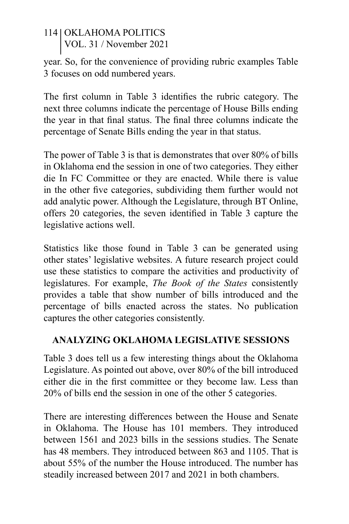year. So, for the convenience of providing rubric examples Table 3 focuses on odd numbered years.

The first column in Table 3 identifies the rubric category. The next three columns indicate the percentage of House Bills ending the year in that final status. The final three columns indicate the percentage of Senate Bills ending the year in that status.

The power of Table 3 is that is demonstrates that over 80% of bills in Oklahoma end the session in one of two categories. They either die In FC Committee or they are enacted. While there is value in the other five categories, subdividing them further would not add analytic power. Although the Legislature, through BT Online, offers 20 categories, the seven identified in Table 3 capture the legislative actions well.

Statistics like those found in Table 3 can be generated using other states' legislative websites. A future research project could use these statistics to compare the activities and productivity of legislatures. For example, *The Book of the States* consistently provides a table that show number of bills introduced and the percentage of bills enacted across the states. No publication captures the other categories consistently.

## **ANALYZING OKLAHOMA LEGISLATIVE SESSIONS**

Table 3 does tell us a few interesting things about the Oklahoma Legislature. As pointed out above, over 80% of the bill introduced either die in the first committee or they become law. Less than 20% of bills end the session in one of the other 5 categories.

There are interesting differences between the House and Senate in Oklahoma. The House has 101 members. They introduced between 1561 and 2023 bills in the sessions studies. The Senate has 48 members. They introduced between 863 and 1105. That is about 55% of the number the House introduced. The number has steadily increased between 2017 and 2021 in both chambers.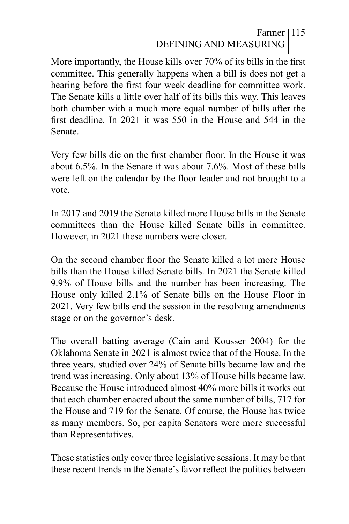# Farmer 115 DEFINING AND MEASURING

More importantly, the House kills over 70% of its bills in the first committee. This generally happens when a bill is does not get a hearing before the first four week deadline for committee work. The Senate kills a little over half of its bills this way. This leaves both chamber with a much more equal number of bills after the first deadline. In 2021 it was 550 in the House and 544 in the Senate.

Very few bills die on the first chamber floor. In the House it was about 6.5%. In the Senate it was about 7.6%. Most of these bills were left on the calendar by the floor leader and not brought to a vote.

In 2017 and 2019 the Senate killed more House bills in the Senate committees than the House killed Senate bills in committee. However, in 2021 these numbers were closer.

On the second chamber floor the Senate killed a lot more House bills than the House killed Senate bills. In 2021 the Senate killed 9.9% of House bills and the number has been increasing. The House only killed 2.1% of Senate bills on the House Floor in 2021. Very few bills end the session in the resolving amendments stage or on the governor's desk.

The overall batting average (Cain and Kousser 2004) for the Oklahoma Senate in 2021 is almost twice that of the House. In the three years, studied over 24% of Senate bills became law and the trend was increasing. Only about 13% of House bills became law. Because the House introduced almost 40% more bills it works out that each chamber enacted about the same number of bills, 717 for the House and 719 for the Senate. Of course, the House has twice as many members. So, per capita Senators were more successful than Representatives.

These statistics only cover three legislative sessions. It may be that these recent trends in the Senate's favor reflect the politics between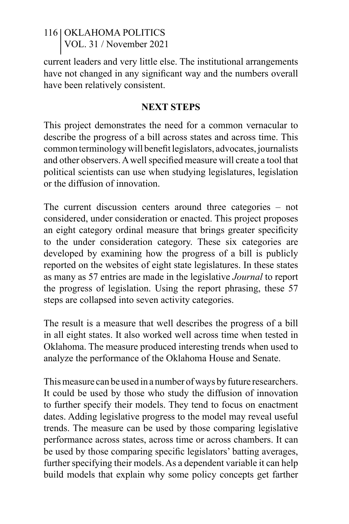current leaders and very little else. The institutional arrangements have not changed in any significant way and the numbers overall have been relatively consistent.

#### **NEXT STEPS**

This project demonstrates the need for a common vernacular to describe the progress of a bill across states and across time. This common terminology will benefit legislators, advocates, journalists and other observers. A well specified measure will create a tool that political scientists can use when studying legislatures, legislation or the diffusion of innovation.

The current discussion centers around three categories – not considered, under consideration or enacted. This project proposes an eight category ordinal measure that brings greater specificity to the under consideration category. These six categories are developed by examining how the progress of a bill is publicly reported on the websites of eight state legislatures. In these states as many as 57 entries are made in the legislative *Journal* to report the progress of legislation. Using the report phrasing, these 57 steps are collapsed into seven activity categories.

The result is a measure that well describes the progress of a bill in all eight states. It also worked well across time when tested in Oklahoma. The measure produced interesting trends when used to analyze the performance of the Oklahoma House and Senate.

This measure can be used in a number of ways by future researchers. It could be used by those who study the diffusion of innovation to further specify their models. They tend to focus on enactment dates. Adding legislative progress to the model may reveal useful trends. The measure can be used by those comparing legislative performance across states, across time or across chambers. It can be used by those comparing specific legislators' batting averages, further specifying their models. As a dependent variable it can help build models that explain why some policy concepts get farther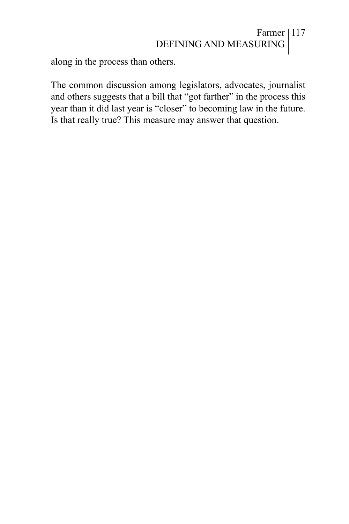# Farmer 117 DEFINING AND MEASURING

along in the process than others.

The common discussion among legislators, advocates, journalist and others suggests that a bill that "got farther" in the process this year than it did last year is "closer" to becoming law in the future. Is that really true? This measure may answer that question.